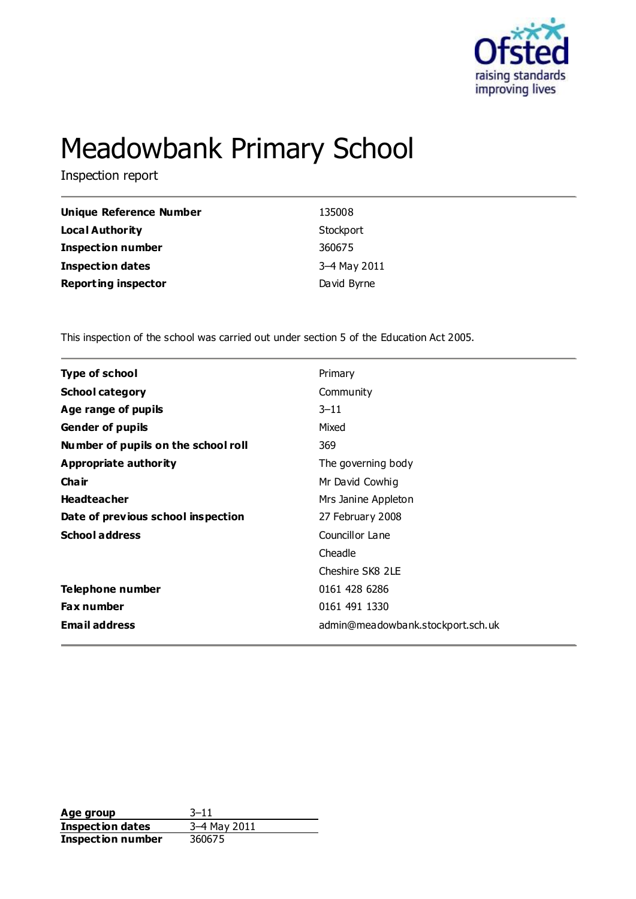

# Meadowbank Primary School

Inspection report

| Unique Reference Number    | 135008       |
|----------------------------|--------------|
| <b>Local Authority</b>     | Stockport    |
| <b>Inspection number</b>   | 360675       |
| <b>Inspection dates</b>    | 3-4 May 2011 |
| <b>Reporting inspector</b> | David Byrne  |

This inspection of the school was carried out under section 5 of the Education Act 2005.

| <b>Type of school</b>               | Primary                           |
|-------------------------------------|-----------------------------------|
| <b>School category</b>              | Community                         |
| Age range of pupils                 | $3 - 11$                          |
| <b>Gender of pupils</b>             | Mixed                             |
| Number of pupils on the school roll | 369                               |
| <b>Appropriate authority</b>        | The governing body                |
| Cha ir                              | Mr David Cowhig                   |
| <b>Headteacher</b>                  | Mrs Janine Appleton               |
| Date of previous school inspection  | 27 February 2008                  |
| <b>School address</b>               | Councillor Lane                   |
|                                     | Cheadle                           |
|                                     | Cheshire SK8 2LE                  |
| Telephone number                    | 0161 428 6286                     |
| Fax number                          | 0161 491 1330                     |
| <b>Email address</b>                | admin@meadowbank.stockport.sch.uk |
|                                     |                                   |

**Age group** 3–11<br> **Inspection dates** 3–4 May 2011 **Inspection dates** 3–4 May<br>**Inspection number** 360675 **Inspection number**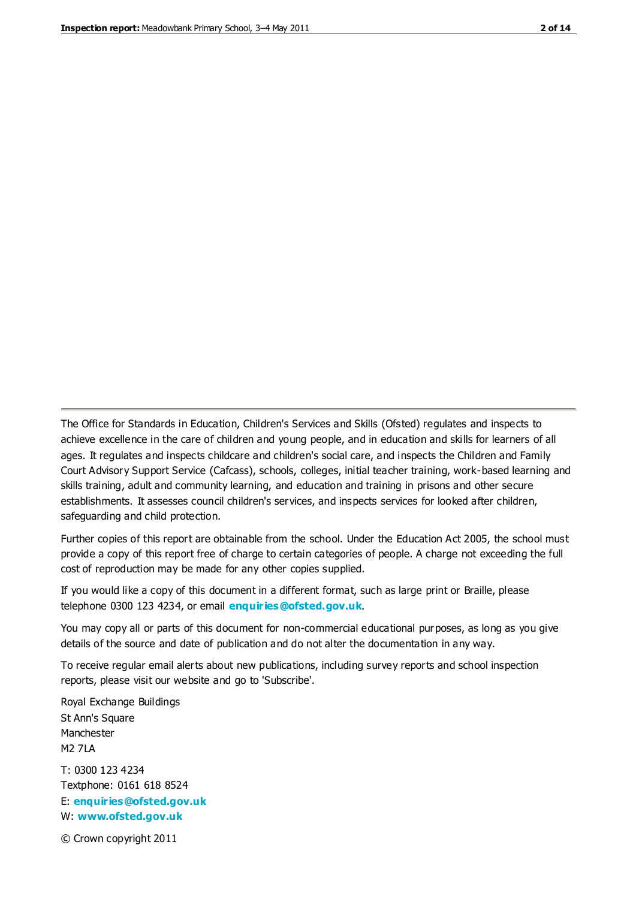The Office for Standards in Education, Children's Services and Skills (Ofsted) regulates and inspects to achieve excellence in the care of children and young people, and in education and skills for learners of all ages. It regulates and inspects childcare and children's social care, and inspects the Children and Family Court Advisory Support Service (Cafcass), schools, colleges, initial teacher training, work-based learning and skills training, adult and community learning, and education and training in prisons and other secure establishments. It assesses council children's services, and inspects services for looked after children, safeguarding and child protection.

Further copies of this report are obtainable from the school. Under the Education Act 2005, the school must provide a copy of this report free of charge to certain categories of people. A charge not exceeding the full cost of reproduction may be made for any other copies supplied.

If you would like a copy of this document in a different format, such as large print or Braille, please telephone 0300 123 4234, or email **[enquiries@ofsted.gov.uk](mailto:enquiries@ofsted.gov.uk)**.

You may copy all or parts of this document for non-commercial educational purposes, as long as you give details of the source and date of publication and do not alter the documentation in any way.

To receive regular email alerts about new publications, including survey reports and school inspection reports, please visit our website and go to 'Subscribe'.

Royal Exchange Buildings St Ann's Square Manchester M2 7LA T: 0300 123 4234 Textphone: 0161 618 8524 E: **[enquiries@ofsted.gov.uk](mailto:enquiries@ofsted.gov.uk)**

W: **[www.ofsted.gov.uk](http://www.ofsted.gov.uk/)**

© Crown copyright 2011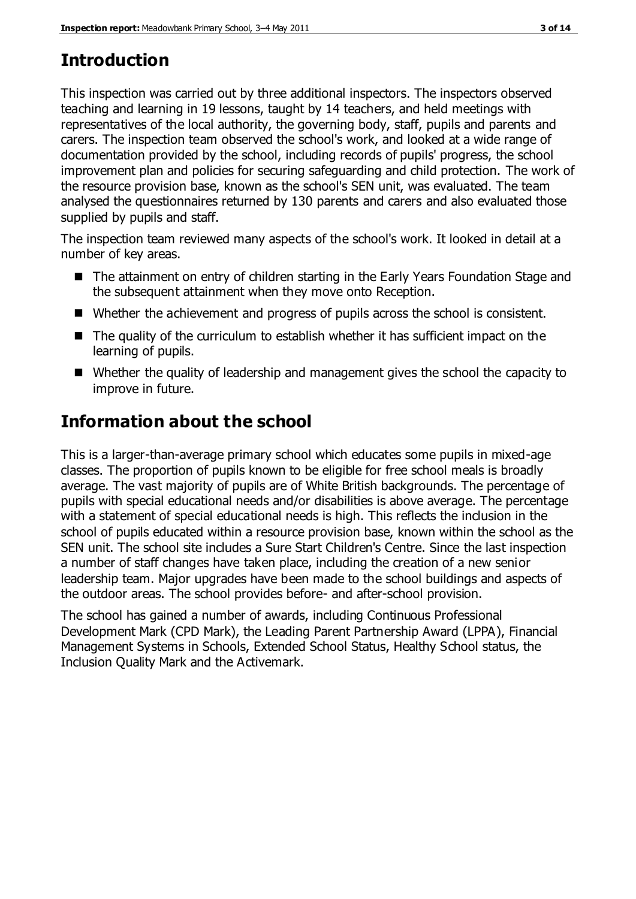# **Introduction**

This inspection was carried out by three additional inspectors. The inspectors observed teaching and learning in 19 lessons, taught by 14 teachers, and held meetings with representatives of the local authority, the governing body, staff, pupils and parents and carers. The inspection team observed the school's work, and looked at a wide range of documentation provided by the school, including records of pupils' progress, the school improvement plan and policies for securing safeguarding and child protection. The work of the resource provision base, known as the school's SEN unit, was evaluated. The team analysed the questionnaires returned by 130 parents and carers and also evaluated those supplied by pupils and staff.

The inspection team reviewed many aspects of the school's work. It looked in detail at a number of key areas.

- The attainment on entry of children starting in the Early Years Foundation Stage and the subsequent attainment when they move onto Reception.
- Whether the achievement and progress of pupils across the school is consistent.
- $\blacksquare$  The quality of the curriculum to establish whether it has sufficient impact on the learning of pupils.
- Whether the quality of leadership and management gives the school the capacity to improve in future.

# **Information about the school**

This is a larger-than-average primary school which educates some pupils in mixed-age classes. The proportion of pupils known to be eligible for free school meals is broadly average. The vast majority of pupils are of White British backgrounds. The percentage of pupils with special educational needs and/or disabilities is above average. The percentage with a statement of special educational needs is high. This reflects the inclusion in the school of pupils educated within a resource provision base, known within the school as the SEN unit. The school site includes a Sure Start Children's Centre. Since the last inspection a number of staff changes have taken place, including the creation of a new senior leadership team. Major upgrades have been made to the school buildings and aspects of the outdoor areas. The school provides before- and after-school provision.

The school has gained a number of awards, including Continuous Professional Development Mark (CPD Mark), the Leading Parent Partnership Award (LPPA), Financial Management Systems in Schools, Extended School Status, Healthy School status, the Inclusion Quality Mark and the Activemark.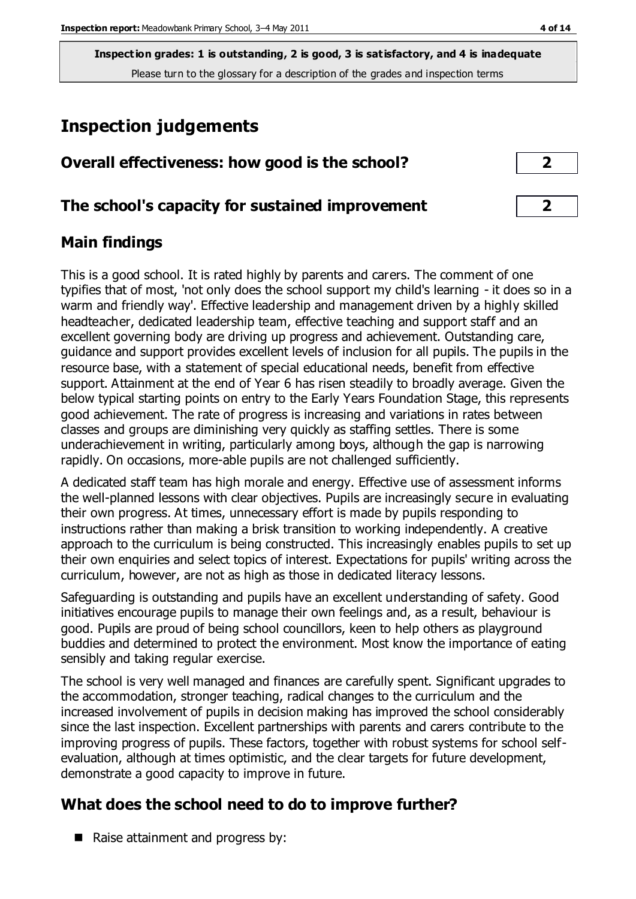# **Inspection judgements**

| Overall effectiveness: how good is the school? |  |
|------------------------------------------------|--|
|------------------------------------------------|--|

## **The school's capacity for sustained improvement 2**

## **Main findings**

This is a good school. It is rated highly by parents and carers. The comment of one typifies that of most, 'not only does the school support my child's learning - it does so in a warm and friendly way'. Effective leadership and management driven by a highly skilled headteacher, dedicated leadership team, effective teaching and support staff and an excellent governing body are driving up progress and achievement. Outstanding care, guidance and support provides excellent levels of inclusion for all pupils. The pupils in the resource base, with a statement of special educational needs, benefit from effective support. Attainment at the end of Year 6 has risen steadily to broadly average. Given the below typical starting points on entry to the Early Years Foundation Stage, this represents good achievement. The rate of progress is increasing and variations in rates between classes and groups are diminishing very quickly as staffing settles. There is some underachievement in writing, particularly among boys, although the gap is narrowing rapidly. On occasions, more-able pupils are not challenged sufficiently.

A dedicated staff team has high morale and energy. Effective use of assessment informs the well-planned lessons with clear objectives. Pupils are increasingly secure in evaluating their own progress. At times, unnecessary effort is made by pupils responding to instructions rather than making a brisk transition to working independently. A creative approach to the curriculum is being constructed. This increasingly enables pupils to set up their own enquiries and select topics of interest. Expectations for pupils' writing across the curriculum, however, are not as high as those in dedicated literacy lessons.

Safeguarding is outstanding and pupils have an excellent understanding of safety. Good initiatives encourage pupils to manage their own feelings and, as a result, behaviour is good. Pupils are proud of being school councillors, keen to help others as playground buddies and determined to protect the environment. Most know the importance of eating sensibly and taking regular exercise.

The school is very well managed and finances are carefully spent. Significant upgrades to the accommodation, stronger teaching, radical changes to the curriculum and the increased involvement of pupils in decision making has improved the school considerably since the last inspection. Excellent partnerships with parents and carers contribute to the improving progress of pupils. These factors, together with robust systems for school selfevaluation, although at times optimistic, and the clear targets for future development, demonstrate a good capacity to improve in future.

# **What does the school need to do to improve further?**

■ Raise attainment and progress by: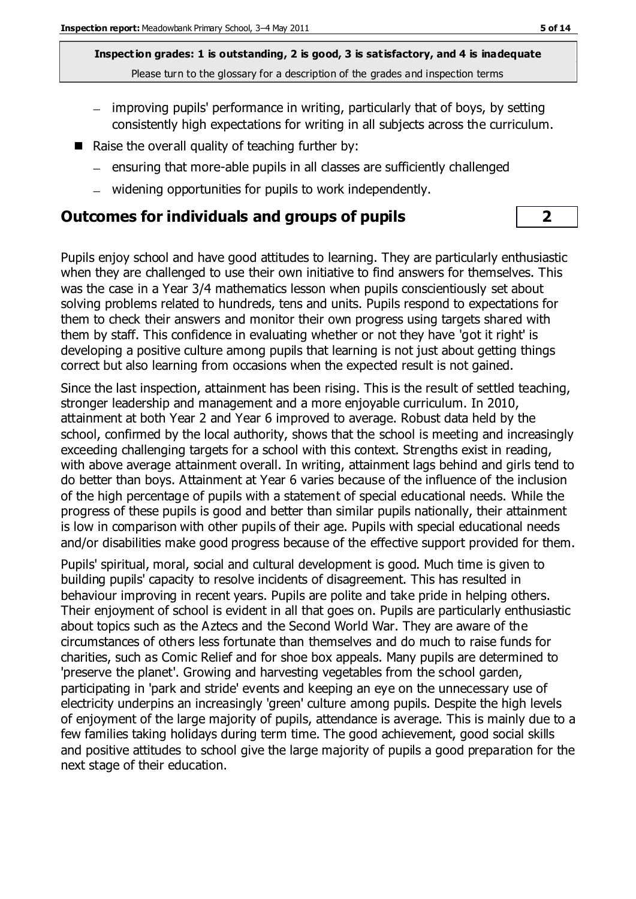- improving pupils' performance in writing, particularly that of boys, by setting consistently high expectations for writing in all subjects across the curriculum.
- Raise the overall quality of teaching further by:
	- $=$  ensuring that more-able pupils in all classes are sufficiently challenged
	- widening opportunities for pupils to work independently.

#### **Outcomes for individuals and groups of pupils 2**

Pupils enjoy school and have good attitudes to learning. They are particularly enthusiastic when they are challenged to use their own initiative to find answers for themselves. This was the case in a Year 3/4 mathematics lesson when pupils conscientiously set about solving problems related to hundreds, tens and units. Pupils respond to expectations for them to check their answers and monitor their own progress using targets shared with them by staff. This confidence in evaluating whether or not they have 'got it right' is developing a positive culture among pupils that learning is not just about getting things correct but also learning from occasions when the expected result is not gained.

Since the last inspection, attainment has been rising. This is the result of settled teaching, stronger leadership and management and a more enjoyable curriculum. In 2010, attainment at both Year 2 and Year 6 improved to average. Robust data held by the school, confirmed by the local authority, shows that the school is meeting and increasingly exceeding challenging targets for a school with this context. Strengths exist in reading, with above average attainment overall. In writing, attainment lags behind and girls tend to do better than boys. Attainment at Year 6 varies because of the influence of the inclusion of the high percentage of pupils with a statement of special educational needs. While the progress of these pupils is good and better than similar pupils nationally, their attainment is low in comparison with other pupils of their age. Pupils with special educational needs and/or disabilities make good progress because of the effective support provided for them.

Pupils' spiritual, moral, social and cultural development is good. Much time is given to building pupils' capacity to resolve incidents of disagreement. This has resulted in behaviour improving in recent years. Pupils are polite and take pride in helping others. Their enjoyment of school is evident in all that goes on. Pupils are particularly enthusiastic about topics such as the Aztecs and the Second World War. They are aware of the circumstances of others less fortunate than themselves and do much to raise funds for charities, such as Comic Relief and for shoe box appeals. Many pupils are determined to 'preserve the planet'. Growing and harvesting vegetables from the school garden, participating in 'park and stride' events and keeping an eye on the unnecessary use of electricity underpins an increasingly 'green' culture among pupils. Despite the high levels of enjoyment of the large majority of pupils, attendance is average. This is mainly due to a few families taking holidays during term time. The good achievement, good social skills and positive attitudes to school give the large majority of pupils a good preparation for the next stage of their education.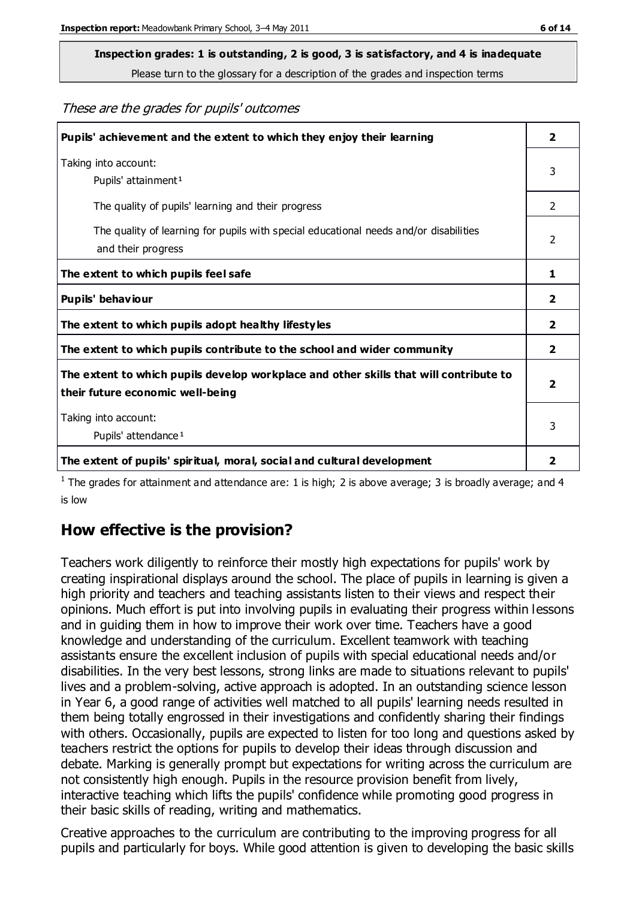# **Inspection grades: 1 is outstanding, 2 is good, 3 is satisfactory, and 4 is inadequate**

Please turn to the glossary for a description of the grades and inspection terms

These are the grades for pupils' outcomes

| Pupils' achievement and the extent to which they enjoy their learning                                                     |               |
|---------------------------------------------------------------------------------------------------------------------------|---------------|
| Taking into account:<br>Pupils' attainment <sup>1</sup>                                                                   | 3             |
| The quality of pupils' learning and their progress                                                                        | $\mathcal{P}$ |
| The quality of learning for pupils with special educational needs and/or disabilities<br>and their progress               | $\mathcal{P}$ |
| The extent to which pupils feel safe                                                                                      | 1             |
| Pupils' behaviour                                                                                                         | 2             |
| The extent to which pupils adopt healthy lifestyles                                                                       | 2             |
| The extent to which pupils contribute to the school and wider community                                                   | $\mathbf{2}$  |
| The extent to which pupils develop workplace and other skills that will contribute to<br>their future economic well-being |               |
| Taking into account:<br>Pupils' attendance <sup>1</sup>                                                                   |               |
| The extent of pupils' spiritual, moral, social and cultural development                                                   | 2             |

<sup>1</sup> The grades for attainment and attendance are: 1 is high; 2 is above average; 3 is broadly average; and 4 is low

## **How effective is the provision?**

Teachers work diligently to reinforce their mostly high expectations for pupils' work by creating inspirational displays around the school. The place of pupils in learning is given a high priority and teachers and teaching assistants listen to their views and respect their opinions. Much effort is put into involving pupils in evaluating their progress within lessons and in guiding them in how to improve their work over time. Teachers have a good knowledge and understanding of the curriculum. Excellent teamwork with teaching assistants ensure the excellent inclusion of pupils with special educational needs and/or disabilities. In the very best lessons, strong links are made to situations relevant to pupils' lives and a problem-solving, active approach is adopted. In an outstanding science lesson in Year 6, a good range of activities well matched to all pupils' learning needs resulted in them being totally engrossed in their investigations and confidently sharing their findings with others. Occasionally, pupils are expected to listen for too long and questions asked by teachers restrict the options for pupils to develop their ideas through discussion and debate. Marking is generally prompt but expectations for writing across the curriculum are not consistently high enough. Pupils in the resource provision benefit from lively, interactive teaching which lifts the pupils' confidence while promoting good progress in their basic skills of reading, writing and mathematics.

Creative approaches to the curriculum are contributing to the improving progress for all pupils and particularly for boys. While good attention is given to developing the basic skills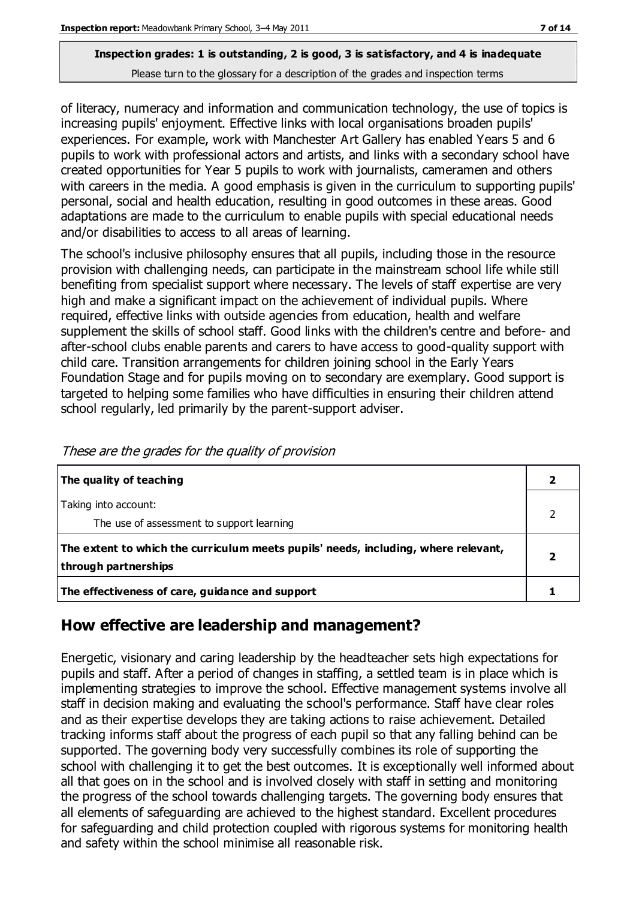of literacy, numeracy and information and communication technology, the use of topics is increasing pupils' enjoyment. Effective links with local organisations broaden pupils' experiences. For example, work with Manchester Art Gallery has enabled Years 5 and 6 pupils to work with professional actors and artists, and links with a secondary school have created opportunities for Year 5 pupils to work with journalists, cameramen and others with careers in the media. A good emphasis is given in the curriculum to supporting pupils' personal, social and health education, resulting in good outcomes in these areas. Good adaptations are made to the curriculum to enable pupils with special educational needs and/or disabilities to access to all areas of learning.

The school's inclusive philosophy ensures that all pupils, including those in the resource provision with challenging needs, can participate in the mainstream school life while still benefiting from specialist support where necessary. The levels of staff expertise are very high and make a significant impact on the achievement of individual pupils. Where required, effective links with outside agencies from education, health and welfare supplement the skills of school staff. Good links with the children's centre and before- and after-school clubs enable parents and carers to have access to good-quality support with child care. Transition arrangements for children joining school in the Early Years Foundation Stage and for pupils moving on to secondary are exemplary. Good support is targeted to helping some families who have difficulties in ensuring their children attend school regularly, led primarily by the parent-support adviser.

| The quality of teaching                                                                                    |  |
|------------------------------------------------------------------------------------------------------------|--|
| Taking into account:<br>The use of assessment to support learning                                          |  |
| The extent to which the curriculum meets pupils' needs, including, where relevant,<br>through partnerships |  |
| The effectiveness of care, guidance and support                                                            |  |

These are the grades for the quality of provision

## **How effective are leadership and management?**

Energetic, visionary and caring leadership by the headteacher sets high expectations for pupils and staff. After a period of changes in staffing, a settled team is in place which is implementing strategies to improve the school. Effective management systems involve all staff in decision making and evaluating the school's performance. Staff have clear roles and as their expertise develops they are taking actions to raise achievement. Detailed tracking informs staff about the progress of each pupil so that any falling behind can be supported. The governing body very successfully combines its role of supporting the school with challenging it to get the best outcomes. It is exceptionally well informed about all that goes on in the school and is involved closely with staff in setting and monitoring the progress of the school towards challenging targets. The governing body ensures that all elements of safeguarding are achieved to the highest standard. Excellent procedures for safeguarding and child protection coupled with rigorous systems for monitoring health and safety within the school minimise all reasonable risk.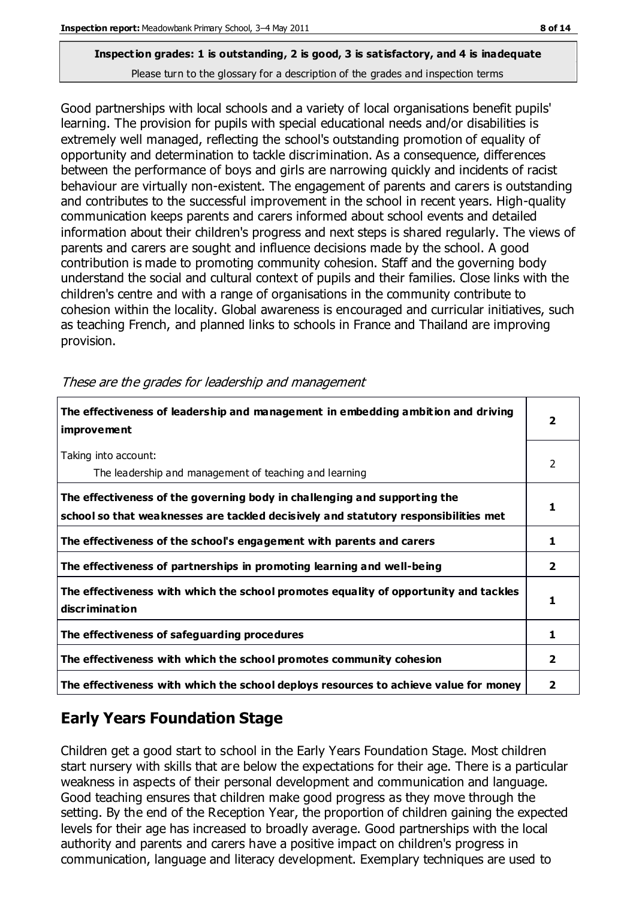Good partnerships with local schools and a variety of local organisations benefit pupils' learning. The provision for pupils with special educational needs and/or disabilities is extremely well managed, reflecting the school's outstanding promotion of equality of opportunity and determination to tackle discrimination. As a consequence, differences between the performance of boys and girls are narrowing quickly and incidents of racist behaviour are virtually non-existent. The engagement of parents and carers is outstanding and contributes to the successful improvement in the school in recent years. High-quality communication keeps parents and carers informed about school events and detailed information about their children's progress and next steps is shared regularly. The views of parents and carers are sought and influence decisions made by the school. A good contribution is made to promoting community cohesion. Staff and the governing body understand the social and cultural context of pupils and their families. Close links with the children's centre and with a range of organisations in the community contribute to cohesion within the locality. Global awareness is encouraged and curricular initiatives, such as teaching French, and planned links to schools in France and Thailand are improving provision.

**The effectiveness of leadership and management in embedding ambition and driving improvement 2** Taking into account: The leadership and management of teaching and learning 2 **The effectiveness of the governing body in challenging and supporting the school so that weaknesses are tackled decisively and statutory responsibilities met 1 The effectiveness of the school's engagement with parents and carers**  $\begin{array}{c} \hline \end{array}$  **1 The effectiveness of partnerships in promoting learning and well-being 2 The effectiveness with which the school promotes equality of opportunity and tackles discrimination 1 The effectiveness of safeguarding procedures 1 The effectiveness with which the school promotes community cohesion 2 The effectiveness with which the school deploys resources to achieve value for money 2**

These are the grades for leadership and management

# **Early Years Foundation Stage**

Children get a good start to school in the Early Years Foundation Stage. Most children start nursery with skills that are below the expectations for their age. There is a particular weakness in aspects of their personal development and communication and language. Good teaching ensures that children make good progress as they move through the setting. By the end of the Reception Year, the proportion of children gaining the expected levels for their age has increased to broadly average. Good partnerships with the local authority and parents and carers have a positive impact on children's progress in communication, language and literacy development. Exemplary techniques are used to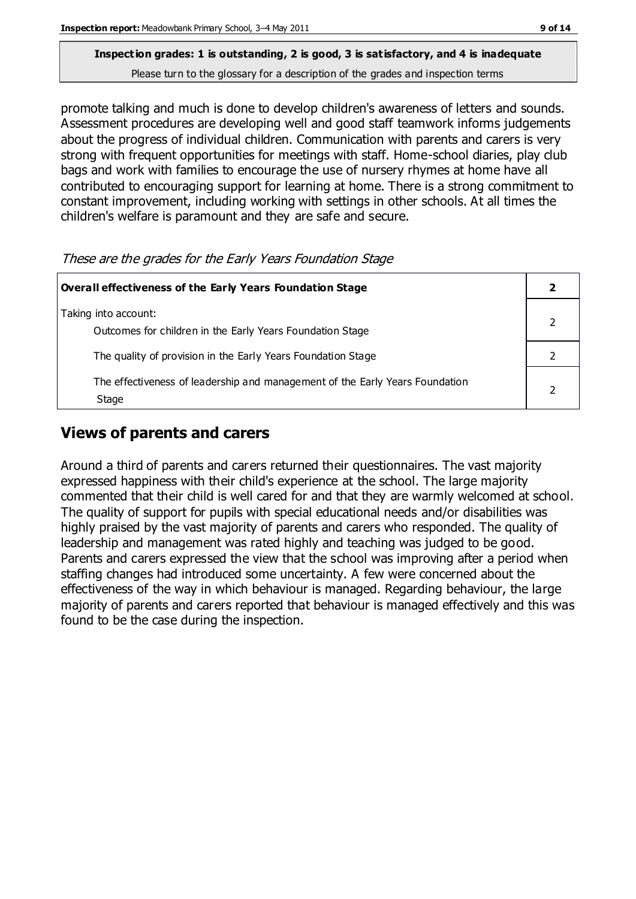promote talking and much is done to develop children's awareness of letters and sounds. Assessment procedures are developing well and good staff teamwork informs judgements

about the progress of individual children. Communication with parents and carers is very strong with frequent opportunities for meetings with staff. Home-school diaries, play club bags and work with families to encourage the use of nursery rhymes at home have all contributed to encouraging support for learning at home. There is a strong commitment to constant improvement, including working with settings in other schools. At all times the children's welfare is paramount and they are safe and secure.

These are the grades for the Early Years Foundation Stage

| <b>Overall effectiveness of the Early Years Foundation Stage</b>                      |  |  |
|---------------------------------------------------------------------------------------|--|--|
| Taking into account:<br>Outcomes for children in the Early Years Foundation Stage     |  |  |
| The quality of provision in the Early Years Foundation Stage                          |  |  |
| The effectiveness of leadership and management of the Early Years Foundation<br>Stage |  |  |

## **Views of parents and carers**

Around a third of parents and carers returned their questionnaires. The vast majority expressed happiness with their child's experience at the school. The large majority commented that their child is well cared for and that they are warmly welcomed at school. The quality of support for pupils with special educational needs and/or disabilities was highly praised by the vast majority of parents and carers who responded. The quality of leadership and management was rated highly and teaching was judged to be good. Parents and carers expressed the view that the school was improving after a period when staffing changes had introduced some uncertainty. A few were concerned about the effectiveness of the way in which behaviour is managed. Regarding behaviour, the large majority of parents and carers reported that behaviour is managed effectively and this was found to be the case during the inspection.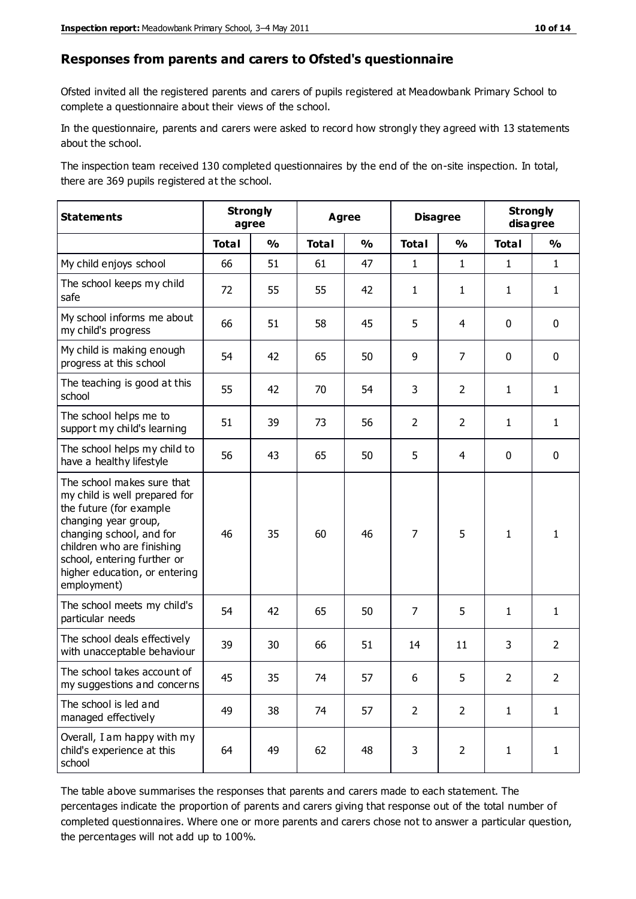#### **Responses from parents and carers to Ofsted's questionnaire**

Ofsted invited all the registered parents and carers of pupils registered at Meadowbank Primary School to complete a questionnaire about their views of the school.

In the questionnaire, parents and carers were asked to record how strongly they agreed with 13 statements about the school.

The inspection team received 130 completed questionnaires by the end of the on-site inspection. In total, there are 369 pupils registered at the school.

| <b>Statements</b>                                                                                                                                                                                                                                       | <b>Strongly</b><br>agree |               | <b>Agree</b> |               | <b>Disagree</b> |                | <b>Strongly</b><br>disagree |                |
|---------------------------------------------------------------------------------------------------------------------------------------------------------------------------------------------------------------------------------------------------------|--------------------------|---------------|--------------|---------------|-----------------|----------------|-----------------------------|----------------|
|                                                                                                                                                                                                                                                         | <b>Total</b>             | $\frac{1}{2}$ | <b>Total</b> | $\frac{0}{0}$ | <b>Total</b>    | $\frac{1}{2}$  | <b>Total</b>                | $\frac{0}{0}$  |
| My child enjoys school                                                                                                                                                                                                                                  | 66                       | 51            | 61           | 47            | $\mathbf{1}$    | $\mathbf{1}$   | $\mathbf{1}$                | $\mathbf{1}$   |
| The school keeps my child<br>safe                                                                                                                                                                                                                       | 72                       | 55            | 55           | 42            | $\mathbf{1}$    | $\mathbf{1}$   | $\mathbf{1}$                | $\mathbf{1}$   |
| My school informs me about<br>my child's progress                                                                                                                                                                                                       | 66                       | 51            | 58           | 45            | 5               | $\overline{4}$ | $\mathbf 0$                 | $\mathbf 0$    |
| My child is making enough<br>progress at this school                                                                                                                                                                                                    | 54                       | 42            | 65           | 50            | 9               | $\overline{7}$ | $\mathbf 0$                 | $\mathbf 0$    |
| The teaching is good at this<br>school                                                                                                                                                                                                                  | 55                       | 42            | 70           | 54            | 3               | $\overline{2}$ | $\mathbf{1}$                | $\mathbf{1}$   |
| The school helps me to<br>support my child's learning                                                                                                                                                                                                   | 51                       | 39            | 73           | 56            | $\overline{2}$  | $\overline{2}$ | $\mathbf{1}$                | $\mathbf{1}$   |
| The school helps my child to<br>have a healthy lifestyle                                                                                                                                                                                                | 56                       | 43            | 65           | 50            | 5               | $\overline{4}$ | $\mathbf 0$                 | $\mathbf 0$    |
| The school makes sure that<br>my child is well prepared for<br>the future (for example<br>changing year group,<br>changing school, and for<br>children who are finishing<br>school, entering further or<br>higher education, or entering<br>employment) | 46                       | 35            | 60           | 46            | $\overline{7}$  | 5              | $\mathbf{1}$                | $\mathbf{1}$   |
| The school meets my child's<br>particular needs                                                                                                                                                                                                         | 54                       | 42            | 65           | 50            | $\overline{7}$  | 5              | $\mathbf{1}$                | $\mathbf{1}$   |
| The school deals effectively<br>with unacceptable behaviour                                                                                                                                                                                             | 39                       | 30            | 66           | 51            | 14              | 11             | 3                           | $\overline{2}$ |
| The school takes account of<br>my suggestions and concerns                                                                                                                                                                                              | 45                       | 35            | 74           | 57            | 6               | 5              | $\overline{2}$              | $\mathcal{P}$  |
| The school is led and<br>managed effectively                                                                                                                                                                                                            | 49                       | 38            | 74           | 57            | $\overline{2}$  | $\overline{2}$ | $\mathbf{1}$                | $\mathbf{1}$   |
| Overall, I am happy with my<br>child's experience at this<br>school                                                                                                                                                                                     | 64                       | 49            | 62           | 48            | 3               | $\overline{2}$ | $\mathbf{1}$                | $\mathbf{1}$   |

The table above summarises the responses that parents and carers made to each statement. The percentages indicate the proportion of parents and carers giving that response out of the total number of completed questionnaires. Where one or more parents and carers chose not to answer a particular question, the percentages will not add up to 100%.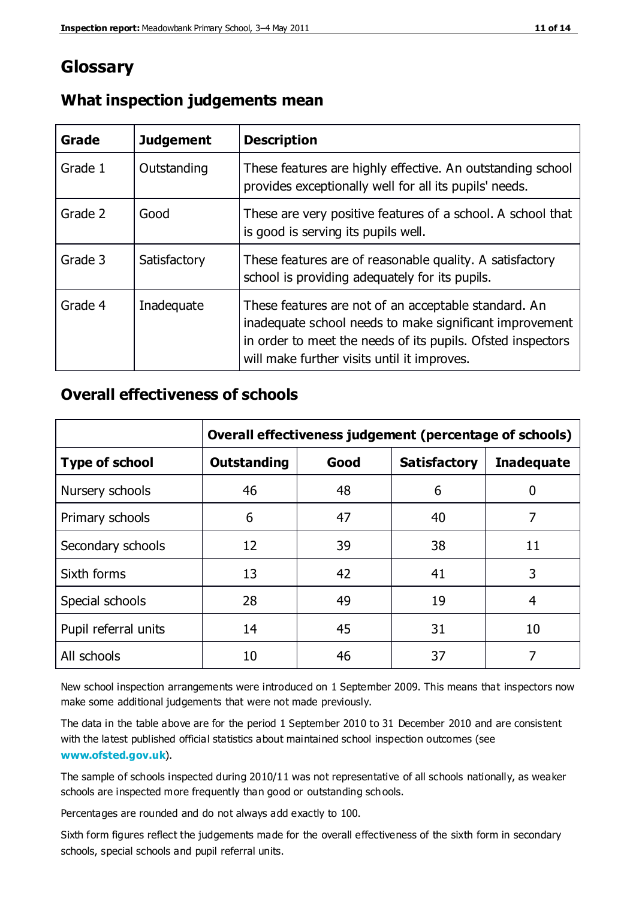# **Glossary**

| Grade   | <b>Judgement</b> | <b>Description</b>                                                                                                                                                                                                            |
|---------|------------------|-------------------------------------------------------------------------------------------------------------------------------------------------------------------------------------------------------------------------------|
| Grade 1 | Outstanding      | These features are highly effective. An outstanding school<br>provides exceptionally well for all its pupils' needs.                                                                                                          |
| Grade 2 | Good             | These are very positive features of a school. A school that<br>is good is serving its pupils well.                                                                                                                            |
| Grade 3 | Satisfactory     | These features are of reasonable quality. A satisfactory<br>school is providing adequately for its pupils.                                                                                                                    |
| Grade 4 | Inadequate       | These features are not of an acceptable standard. An<br>inadequate school needs to make significant improvement<br>in order to meet the needs of its pupils. Ofsted inspectors<br>will make further visits until it improves. |

#### **What inspection judgements mean**

#### **Overall effectiveness of schools**

|                       | Overall effectiveness judgement (percentage of schools) |      |                     |                   |
|-----------------------|---------------------------------------------------------|------|---------------------|-------------------|
| <b>Type of school</b> | <b>Outstanding</b>                                      | Good | <b>Satisfactory</b> | <b>Inadequate</b> |
| Nursery schools       | 46                                                      | 48   | 6                   |                   |
| Primary schools       | 6                                                       | 47   | 40                  | 7                 |
| Secondary schools     | 12                                                      | 39   | 38                  | 11                |
| Sixth forms           | 13                                                      | 42   | 41                  | 3                 |
| Special schools       | 28                                                      | 49   | 19                  | 4                 |
| Pupil referral units  | 14                                                      | 45   | 31                  | 10                |
| All schools           | 10                                                      | 46   | 37                  |                   |

New school inspection arrangements were introduced on 1 September 2009. This means that inspectors now make some additional judgements that were not made previously.

The data in the table above are for the period 1 September 2010 to 31 December 2010 and are consistent with the latest published official statistics about maintained school inspection outcomes (see **[www.ofsted.gov.uk](http://www.ofsted.gov.uk/)**).

The sample of schools inspected during 2010/11 was not representative of all schools nationally, as weaker schools are inspected more frequently than good or outstanding schools.

Percentages are rounded and do not always add exactly to 100.

Sixth form figures reflect the judgements made for the overall effectiveness of the sixth form in secondary schools, special schools and pupil referral units.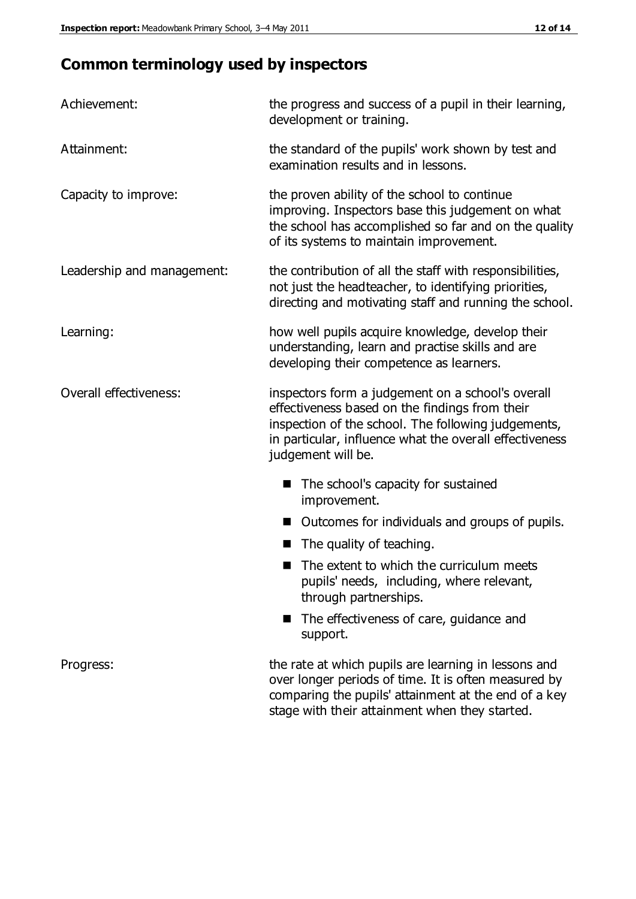# **Common terminology used by inspectors**

| Achievement:                  | the progress and success of a pupil in their learning,<br>development or training.                                                                                                                                                          |  |  |
|-------------------------------|---------------------------------------------------------------------------------------------------------------------------------------------------------------------------------------------------------------------------------------------|--|--|
| Attainment:                   | the standard of the pupils' work shown by test and<br>examination results and in lessons.                                                                                                                                                   |  |  |
| Capacity to improve:          | the proven ability of the school to continue<br>improving. Inspectors base this judgement on what<br>the school has accomplished so far and on the quality<br>of its systems to maintain improvement.                                       |  |  |
| Leadership and management:    | the contribution of all the staff with responsibilities,<br>not just the headteacher, to identifying priorities,<br>directing and motivating staff and running the school.                                                                  |  |  |
| Learning:                     | how well pupils acquire knowledge, develop their<br>understanding, learn and practise skills and are<br>developing their competence as learners.                                                                                            |  |  |
| <b>Overall effectiveness:</b> | inspectors form a judgement on a school's overall<br>effectiveness based on the findings from their<br>inspection of the school. The following judgements,<br>in particular, influence what the overall effectiveness<br>judgement will be. |  |  |
|                               | The school's capacity for sustained<br>improvement.                                                                                                                                                                                         |  |  |
|                               | Outcomes for individuals and groups of pupils.                                                                                                                                                                                              |  |  |
|                               | The quality of teaching.                                                                                                                                                                                                                    |  |  |
|                               | The extent to which the curriculum meets<br>pupils' needs, including, where relevant,<br>through partnerships.                                                                                                                              |  |  |
|                               | The effectiveness of care, guidance and<br>support.                                                                                                                                                                                         |  |  |
| Progress:                     | the rate at which pupils are learning in lessons and<br>over longer periods of time. It is often measured by<br>comparing the pupils' attainment at the end of a key                                                                        |  |  |

stage with their attainment when they started.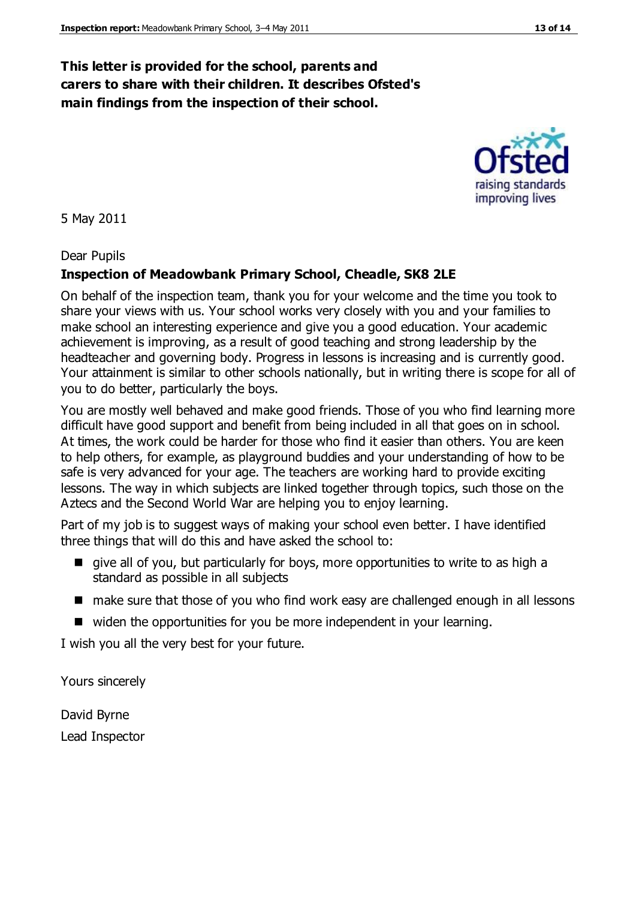#### **This letter is provided for the school, parents and carers to share with their children. It describes Ofsted's main findings from the inspection of their school.**

5 May 2011

Dear Pupils

#### **Inspection of Meadowbank Primary School, Cheadle, SK8 2LE**

On behalf of the inspection team, thank you for your welcome and the time you took to share your views with us. Your school works very closely with you and your families to make school an interesting experience and give you a good education. Your academic achievement is improving, as a result of good teaching and strong leadership by the headteacher and governing body. Progress in lessons is increasing and is currently good. Your attainment is similar to other schools nationally, but in writing there is scope for all of you to do better, particularly the boys.

You are mostly well behaved and make good friends. Those of you who find learning more difficult have good support and benefit from being included in all that goes on in school. At times, the work could be harder for those who find it easier than others. You are keen to help others, for example, as playground buddies and your understanding of how to be safe is very advanced for your age. The teachers are working hard to provide exciting lessons. The way in which subjects are linked together through topics, such those on the Aztecs and the Second World War are helping you to enjoy learning.

Part of my job is to suggest ways of making your school even better. I have identified three things that will do this and have asked the school to:

- give all of you, but particularly for boys, more opportunities to write to as high a standard as possible in all subjects
- make sure that those of you who find work easy are challenged enough in all lessons
- widen the opportunities for you be more independent in your learning.

I wish you all the very best for your future.

Yours sincerely

David Byrne Lead Inspector